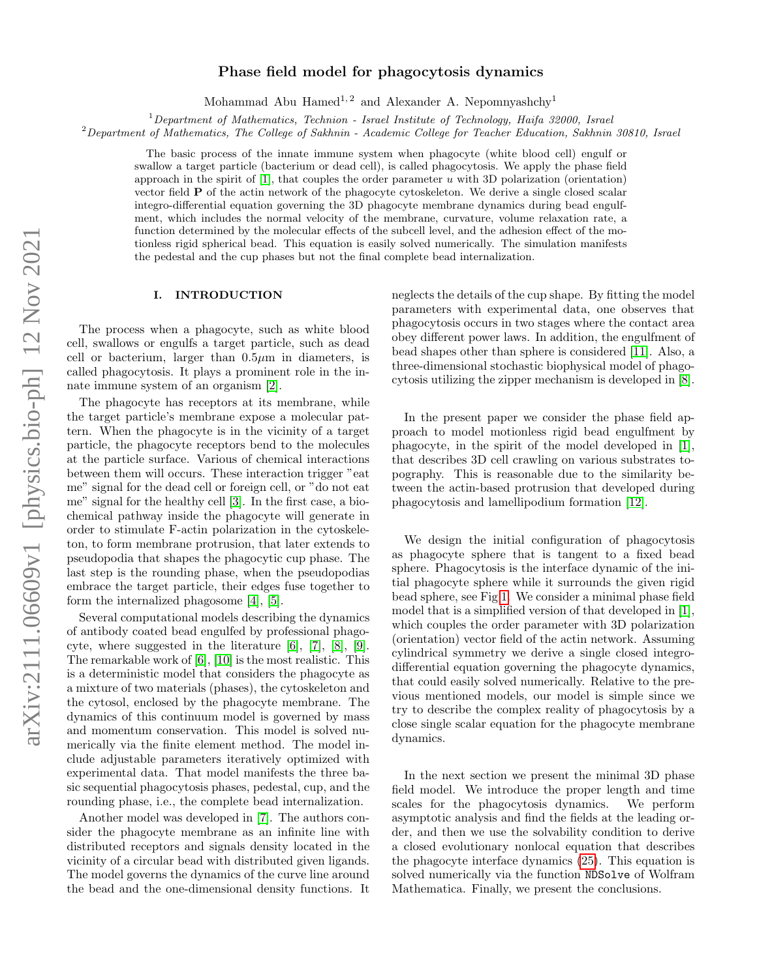# arXiv:2111.06609v1 [physics.bio-ph] 12 Nov 2021 arXiv:2111.06609v1 [physics.bio-ph] 12 Nov 2021

# Phase field model for phagocytosis dynamics

Mohammad Abu Hamed<sup>1,2</sup> and Alexander A. Nepomnyashchy<sup>1</sup>

 $1$ Department of Mathematics, Technion - Israel Institute of Technology, Haifa 32000, Israel

 $2$ Department of Mathematics, The College of Sakhnin - Academic College for Teacher Education, Sakhnin 30810, Israel

The basic process of the innate immune system when phagocyte (white blood cell) engulf or swallow a target particle (bacterium or dead cell), is called phagocytosis. We apply the phase field approach in the spirit of  $[1]$ , that couples the order parameter u with 3D polarization (orientation) vector field P of the actin network of the phagocyte cytoskeleton. We derive a single closed scalar integro-differential equation governing the 3D phagocyte membrane dynamics during bead engulfment, which includes the normal velocity of the membrane, curvature, volume relaxation rate, a function determined by the molecular effects of the subcell level, and the adhesion effect of the motionless rigid spherical bead. This equation is easily solved numerically. The simulation manifests the pedestal and the cup phases but not the final complete bead internalization.

# I. INTRODUCTION

The process when a phagocyte, such as white blood cell, swallows or engulfs a target particle, such as dead cell or bacterium, larger than  $0.5\mu$ m in diameters, is called phagocytosis. It plays a prominent role in the innate immune system of an organism [\[2\]](#page-6-1).

The phagocyte has receptors at its membrane, while the target particle's membrane expose a molecular pattern. When the phagocyte is in the vicinity of a target particle, the phagocyte receptors bend to the molecules at the particle surface. Various of chemical interactions between them will occurs. These interaction trigger "eat me" signal for the dead cell or foreign cell, or "do not eat me" signal for the healthy cell [\[3\]](#page-6-2). In the first case, a biochemical pathway inside the phagocyte will generate in order to stimulate F-actin polarization in the cytoskeleton, to form membrane protrusion, that later extends to pseudopodia that shapes the phagocytic cup phase. The last step is the rounding phase, when the pseudopodias embrace the target particle, their edges fuse together to form the internalized phagosome [\[4\]](#page-6-3), [\[5\]](#page-6-4).

Several computational models describing the dynamics of antibody coated bead engulfed by professional phagocyte, where suggested in the literature [\[6\]](#page-6-5), [\[7\]](#page-6-6), [\[8\]](#page-6-7), [\[9\]](#page-6-8). The remarkable work of [\[6\]](#page-6-5), [\[10\]](#page-6-9) is the most realistic. This is a deterministic model that considers the phagocyte as a mixture of two materials (phases), the cytoskeleton and the cytosol, enclosed by the phagocyte membrane. The dynamics of this continuum model is governed by mass and momentum conservation. This model is solved numerically via the finite element method. The model include adjustable parameters iteratively optimized with experimental data. That model manifests the three basic sequential phagocytosis phases, pedestal, cup, and the rounding phase, i.e., the complete bead internalization.

Another model was developed in [\[7\]](#page-6-6). The authors consider the phagocyte membrane as an infinite line with distributed receptors and signals density located in the vicinity of a circular bead with distributed given ligands. The model governs the dynamics of the curve line around the bead and the one-dimensional density functions. It

neglects the details of the cup shape. By fitting the model parameters with experimental data, one observes that phagocytosis occurs in two stages where the contact area obey different power laws. In addition, the engulfment of bead shapes other than sphere is considered [\[11\]](#page-6-10). Also, a three-dimensional stochastic biophysical model of phagocytosis utilizing the zipper mechanism is developed in [\[8\]](#page-6-7).

In the present paper we consider the phase field approach to model motionless rigid bead engulfment by phagocyte, in the spirit of the model developed in [\[1\]](#page-6-0), that describes 3D cell crawling on various substrates topography. This is reasonable due to the similarity between the actin-based protrusion that developed during phagocytosis and lamellipodium formation [\[12\]](#page-6-11).

We design the initial configuration of phagocytosis as phagocyte sphere that is tangent to a fixed bead sphere. Phagocytosis is the interface dynamic of the initial phagocyte sphere while it surrounds the given rigid bead sphere, see Fig [1.](#page-1-0) We consider a minimal phase field model that is a simplified version of that developed in [\[1\]](#page-6-0), which couples the order parameter with 3D polarization (orientation) vector field of the actin network. Assuming cylindrical symmetry we derive a single closed integrodifferential equation governing the phagocyte dynamics, that could easily solved numerically. Relative to the previous mentioned models, our model is simple since we try to describe the complex reality of phagocytosis by a close single scalar equation for the phagocyte membrane dynamics.

In the next section we present the minimal 3D phase field model. We introduce the proper length and time scales for the phagocytosis dynamics. We perform asymptotic analysis and find the fields at the leading order, and then we use the solvability condition to derive a closed evolutionary nonlocal equation that describes the phagocyte interface dynamics [\(25\)](#page-3-0). This equation is solved numerically via the function NDSolve of Wolfram Mathematica. Finally, we present the conclusions.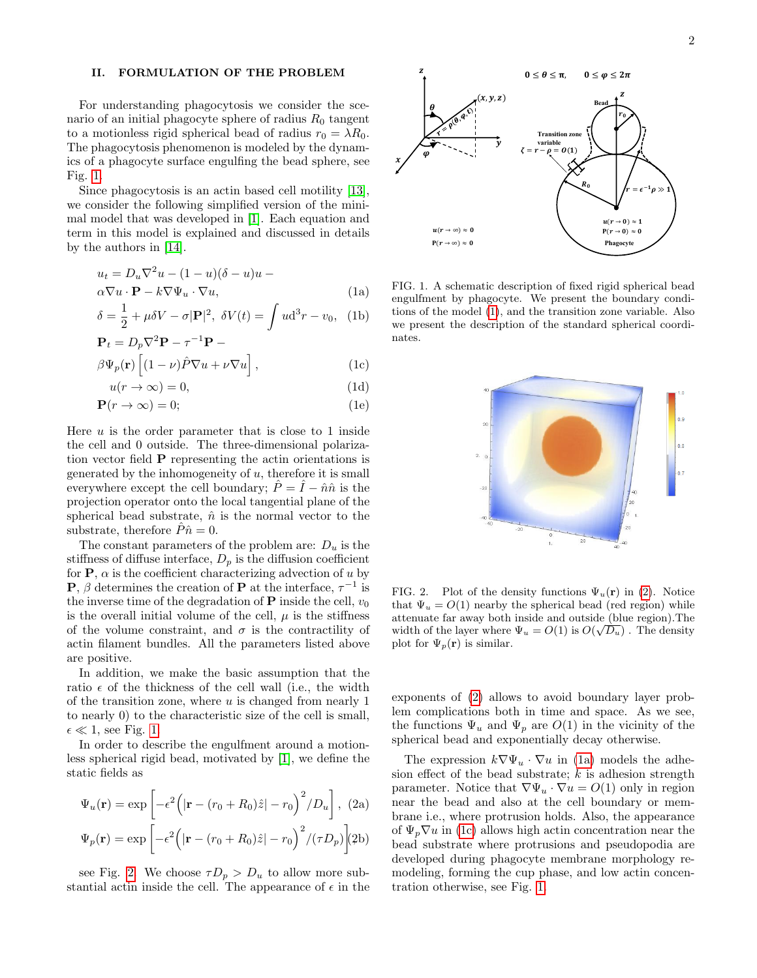## II. FORMULATION OF THE PROBLEM

For understanding phagocytosis we consider the scenario of an initial phagocyte sphere of radius  $R_0$  tangent to a motionless rigid spherical bead of radius  $r_0 = \lambda R_0$ . The phagocytosis phenomenon is modeled by the dynamics of a phagocyte surface engulfing the bead sphere, see Fig. [1.](#page-1-0)

Since phagocytosis is an actin based cell motility [\[13\]](#page-6-12), we consider the following simplified version of the minimal model that was developed in [\[1\]](#page-6-0). Each equation and term in this model is explained and discussed in details by the authors in [\[14\]](#page-6-13).

<span id="page-1-4"></span><span id="page-1-2"></span>
$$
u_t = D_u \nabla^2 u - (1 - u)(\delta - u)u - \alpha \nabla u \cdot \mathbf{P} - k \nabla \Psi_u \cdot \nabla u,
$$
\n(1a)

$$
\delta = \frac{1}{2} + \mu \delta V - \sigma |\mathbf{P}|^2, \ \delta V(t) = \int u d^3 r - v_0, \ \text{(1b)}
$$

$$
\mathbf{P}_t = D_p \nabla^2 \mathbf{P} - \tau^{-1} \mathbf{P} -
$$
  
\n
$$
\partial \Psi_r(\mathbf{r}) \left[ (1 - \nu) \hat{P} \nabla u + \nu \nabla u \right]
$$
 (1c)

$$
\beta\Psi_p(\mathbf{r})\left[ (1-\nu)\hat{P}\nabla u + \nu\nabla u \right],\tag{1c}
$$

$$
u(r \to \infty) = 0,\t\t(1d)
$$

$$
\mathbf{P}(r \to \infty) = 0; \tag{1e}
$$

Here  $u$  is the order parameter that is close to 1 inside the cell and 0 outside. The three-dimensional polarization vector field P representing the actin orientations is generated by the inhomogeneity of  $u$ , therefore it is small everywhere except the cell boundary;  $\hat{P} = \hat{I} - \hat{n}\hat{n}$  is the projection operator onto the local tangential plane of the spherical bead substrate,  $\hat{n}$  is the normal vector to the substrate, therefore  $\hat{P}\hat{n}=0$ .

The constant parameters of the problem are:  $D_u$  is the stiffness of diffuse interface,  $D_p$  is the diffusion coefficient for  $P$ ,  $\alpha$  is the coefficient characterizing advection of u by **P**,  $\beta$  determines the creation of **P** at the interface,  $\tau^{-1}$  is the inverse time of the degradation of **P** inside the cell,  $v_0$ is the overall initial volume of the cell,  $\mu$  is the stiffness of the volume constraint, and  $\sigma$  is the contractility of actin filament bundles. All the parameters listed above are positive.

In addition, we make the basic assumption that the ratio  $\epsilon$  of the thickness of the cell wall (i.e., the width of the transition zone, where  $u$  is changed from nearly 1 to nearly 0) to the characteristic size of the cell is small,  $\epsilon \ll 1$ , see Fig. [1.](#page-1-0)

In order to describe the engulfment around a motionless spherical rigid bead, motivated by [\[1\]](#page-6-0), we define the static fields as

<span id="page-1-3"></span>
$$
\Psi_u(\mathbf{r}) = \exp\left[-\epsilon^2 \left(|\mathbf{r} - (r_0 + R_0)\hat{z}| - r_0\right)^2 / D_u\right], (2a)
$$

$$
\Psi_p(\mathbf{r}) = \exp\left[-\epsilon^2 \left(|\mathbf{r} - (r_0 + R_0)\hat{z}| - r_0\right)^2 / (\tau D_p)\right](2b)
$$

see Fig. [2.](#page-1-1) We choose  $\tau D_p > D_u$  to allow more substantial actin inside the cell. The appearance of  $\epsilon$  in the



<span id="page-1-0"></span>FIG. 1. A schematic description of fixed rigid spherical bead engulfment by phagocyte. We present the boundary conditions of the model [\(1\)](#page-1-2), and the transition zone variable. Also we present the description of the standard spherical coordinates.



<span id="page-1-1"></span>FIG. 2. Plot of the density functions  $\Psi_u(\mathbf{r})$  in [\(2\)](#page-1-3). Notice that  $\Psi_u = O(1)$  nearby the spherical bead (red region) while attenuate far away both inside and outside (blue region). The width of the layer where  $\Psi_u = O(1)$  is  $O(\sqrt{D_u})$ . The density plot for  $\Psi_p(\mathbf{r})$  is similar.

exponents of [\(2\)](#page-1-3) allows to avoid boundary layer problem complications both in time and space. As we see, the functions  $\Psi_u$  and  $\Psi_p$  are  $O(1)$  in the vicinity of the spherical bead and exponentially decay otherwise.

The expression  $k \nabla \Psi_u \cdot \nabla u$  in [\(1a\)](#page-1-4) models the adhesion effect of the bead substrate;  $k$  is adhesion strength parameter. Notice that  $\nabla \Psi_u \cdot \nabla u = O(1)$  only in region near the bead and also at the cell boundary or membrane i.e., where protrusion holds. Also, the appearance of  $\Psi_p \nabla u$  in [\(1c\)](#page-1-4) allows high actin concentration near the bead substrate where protrusions and pseudopodia are developed during phagocyte membrane morphology remodeling, forming the cup phase, and low actin concentration otherwise, see Fig. [1.](#page-1-0)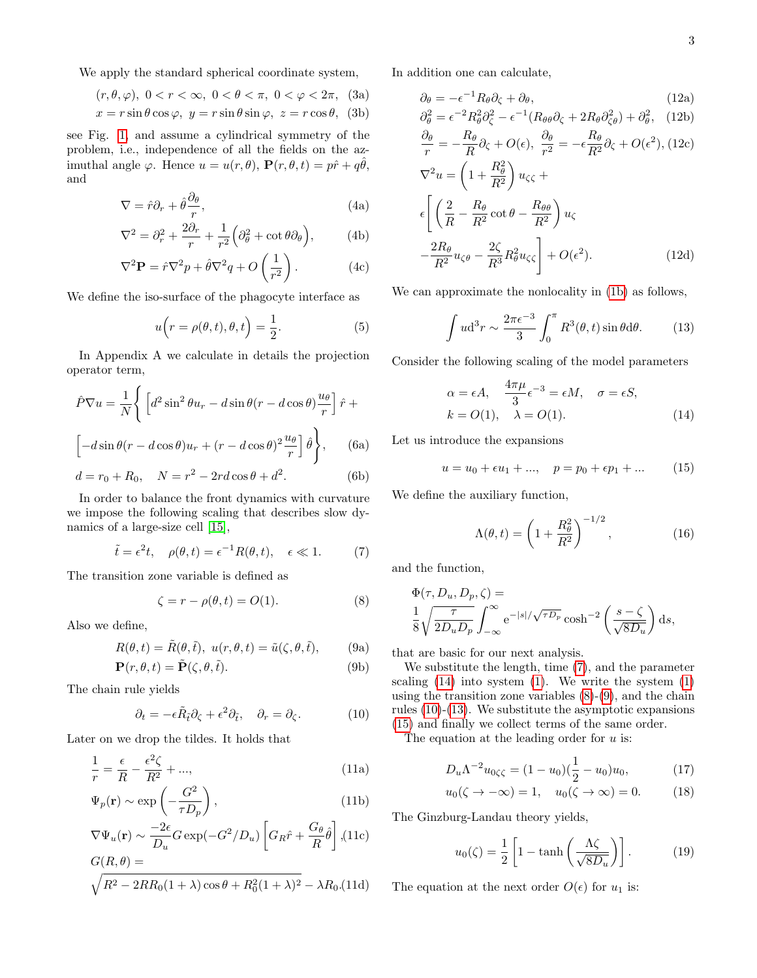We apply the standard spherical coordinate system,

$$
(r, \theta, \varphi), \ 0 < r < \infty, \ 0 < \theta < \pi, \ 0 < \varphi < 2\pi, \ (3a)
$$

$$
x = r \sin \theta \cos \varphi, \ y = r \sin \theta \sin \varphi, \ z = r \cos \theta, \ (3b)
$$

see Fig. [1,](#page-1-0) and assume a cylindrical symmetry of the problem, i.e., independence of all the fields on the azimuthal angle  $\varphi$ . Hence  $u = u(r, \theta)$ ,  $\mathbf{P}(r, \theta, t) = p\hat{r} + q\hat{\theta}$ , and

$$
\nabla = \hat{r}\partial_r + \hat{\theta}\frac{\partial_\theta}{r},\tag{4a}
$$

$$
\nabla^2 = \partial_r^2 + \frac{2\partial_r}{r} + \frac{1}{r^2} \left( \partial_\theta^2 + \cot \theta \partial_\theta \right), \tag{4b}
$$

$$
\nabla^2 \mathbf{P} = \hat{r} \nabla^2 p + \hat{\theta} \nabla^2 q + O\left(\frac{1}{r^2}\right). \tag{4c}
$$

We define the iso-surface of the phagocyte interface as

<span id="page-2-7"></span>
$$
u(r = \rho(\theta, t), \theta, t) = \frac{1}{2}.
$$
 (5)

In Appendix A we calculate in details the projection operator term,

$$
\hat{P}\nabla u = \frac{1}{N} \left\{ \left[ d^2 \sin^2 \theta u_r - d \sin \theta (r - d \cos \theta) \frac{u_\theta}{r} \right] \hat{r} + \left[ -d \sin \theta (r - d \cos \theta) u_r + (r - d \cos \theta)^2 \frac{u_\theta}{r} \right] \hat{\theta} \right\}, \qquad (6a)
$$

$$
d = r_0 + R_0, \quad N = r^2 - 2rd\cos\theta + d^2.
$$
 (6b)

In order to balance the front dynamics with curvature we impose the following scaling that describes slow dynamics of a large-size cell [\[15\]](#page-6-14),

<span id="page-2-0"></span>
$$
\tilde{t} = \epsilon^2 t, \quad \rho(\theta, t) = \epsilon^{-1} R(\theta, t), \quad \epsilon \ll 1.
$$
 (7)

The transition zone variable is defined as

<span id="page-2-3"></span><span id="page-2-2"></span>
$$
\zeta = r - \rho(\theta, t) = O(1). \tag{8}
$$

Also we define,

$$
R(\theta, t) = \tilde{R}(\theta, \tilde{t}), \ u(r, \theta, t) = \tilde{u}(\zeta, \theta, \tilde{t}), \qquad (9a)
$$

$$
\mathbf{P}(r,\theta,t) = \tilde{\mathbf{P}}(\zeta,\theta,\tilde{t}).\tag{9b}
$$

The chain rule yields

<span id="page-2-4"></span>
$$
\partial_t = -\epsilon \tilde{R}_{\tilde{t}} \partial_{\zeta} + \epsilon^2 \partial_{\tilde{t}}, \quad \partial_r = \partial_{\zeta}.
$$
 (10)

Later on we drop the tildes. It holds that

$$
\frac{1}{r} = \frac{\epsilon}{R} - \frac{\epsilon^2 \zeta}{R^2} + \dots,
$$
\n(11a)

$$
\Psi_p(\mathbf{r}) \sim \exp\left(-\frac{G^2}{\tau D_p}\right),\tag{11b}
$$

$$
\nabla\Psi_u(\mathbf{r}) \sim \frac{-2\epsilon}{D_u} G \exp(-G^2/D_u) \left[ G_R \hat{r} + \frac{G_\theta}{R} \hat{\theta} \right], (11c)
$$

$$
G(R, \theta) =
$$

$$
\sqrt{R^2 - 2RR_0(1+\lambda)\cos\theta + R_0^2(1+\lambda)^2} - \lambda R_0.(11d)
$$

<span id="page-2-8"></span>In addition one can calculate,

$$
\partial_{\theta} = -\epsilon^{-1} R_{\theta} \partial_{\zeta} + \partial_{\theta}, \tag{12a}
$$
\n
$$
\partial^2 = \epsilon^{-2} B^2 \partial^2 = \epsilon^{-1} (B_{\phi} \partial_{\phi} + 2B_{\phi} \partial^2) + \partial^2 \tag{12b}
$$

$$
\partial_{\theta}^{2} = \epsilon^{-2} R_{\theta}^{2} \partial_{\zeta}^{2} - \epsilon^{-1} (R_{\theta\theta} \partial_{\zeta} + 2R_{\theta} \partial_{\zeta\theta}^{2}) + \partial_{\theta}^{2}, \quad (12b)
$$

$$
\partial_{\theta} \qquad R_{\theta} = \partial_{\zeta} \partial_{\theta} \qquad R_{\theta} = \partial_{\zeta} (R_{\theta}^{2}) + \partial_{\zeta} (R_{\theta}^{2})
$$

$$
\frac{\partial \theta}{r} = -\frac{R\theta}{R}\partial_{\zeta} + O(\epsilon), \ \frac{\partial \theta}{r^2} = -\epsilon \frac{R\theta}{R^2}\partial_{\zeta} + O(\epsilon^2), (12c)
$$

$$
\nabla^2 u = \left(1 + \frac{R_\theta^2}{R^2}\right) u_{\zeta\zeta} + \epsilon \left[ \left(\frac{2}{R} - \frac{R_\theta}{R^2} \cot \theta - \frac{R_{\theta\theta}}{R^2}\right) u_{\zeta} - \frac{2R_\theta}{R^2} u_{\zeta\theta} - \frac{2\zeta}{R^3} R_\theta^2 u_{\zeta\zeta} \right] + O(\epsilon^2).
$$
 (12d)

We can approximate the nonlocality in [\(1b\)](#page-1-4) as follows,

<span id="page-2-5"></span>
$$
\int u d^3 r \sim \frac{2\pi \epsilon^{-3}}{3} \int_0^{\pi} R^3(\theta, t) \sin \theta d\theta.
$$
 (13)

Consider the following scaling of the model parameters

<span id="page-2-1"></span>
$$
\alpha = \epsilon A, \quad \frac{4\pi\mu}{3}\epsilon^{-3} = \epsilon M, \quad \sigma = \epsilon S,
$$
  
\n
$$
k = O(1), \quad \lambda = O(1).
$$
 (14)

Let us introduce the expansions

<span id="page-2-6"></span>
$$
u = u_0 + \epsilon u_1 + ..., \quad p = p_0 + \epsilon p_1 + ... \tag{15}
$$

We define the auxiliary function,

<span id="page-2-9"></span>
$$
\Lambda(\theta, t) = \left(1 + \frac{R_{\theta}^2}{R^2}\right)^{-1/2},\tag{16}
$$

and the function,

$$
\Phi(\tau, D_u, D_p, \zeta) =
$$
  
\n
$$
\frac{1}{8} \sqrt{\frac{\tau}{2D_u D_p}} \int_{-\infty}^{\infty} e^{-|s|/\sqrt{\tau D_p}} \cosh^{-2} \left( \frac{s - \zeta}{\sqrt{8D_u}} \right) ds,
$$

that are basic for our next analysis.

We substitute the length, time [\(7\)](#page-2-0), and the parameter scaling  $(14)$  into system  $(1)$ . We write the system  $(1)$ using the transition zone variables  $(8)-(9)$  $(8)-(9)$  $(8)-(9)$ , and the chain rules [\(10\)](#page-2-4)-[\(13\)](#page-2-5). We substitute the asymptotic expansions [\(15\)](#page-2-6) and finally we collect terms of the same order.

The equation at the leading order for  $u$  is:

$$
D_u \Lambda^{-2} u_{0\zeta\zeta} = (1 - u_0)(\frac{1}{2} - u_0)u_0, \tag{17}
$$

$$
u_0(\zeta \to -\infty) = 1, \quad u_0(\zeta \to \infty) = 0. \tag{18}
$$

The Ginzburg-Landau theory yields,

$$
u_0(\zeta) = \frac{1}{2} \left[ 1 - \tanh\left(\frac{\Lambda \zeta}{\sqrt{8D_u}}\right) \right].
$$
 (19)

The equation at the next order  $O(\epsilon)$  for  $u_1$  is: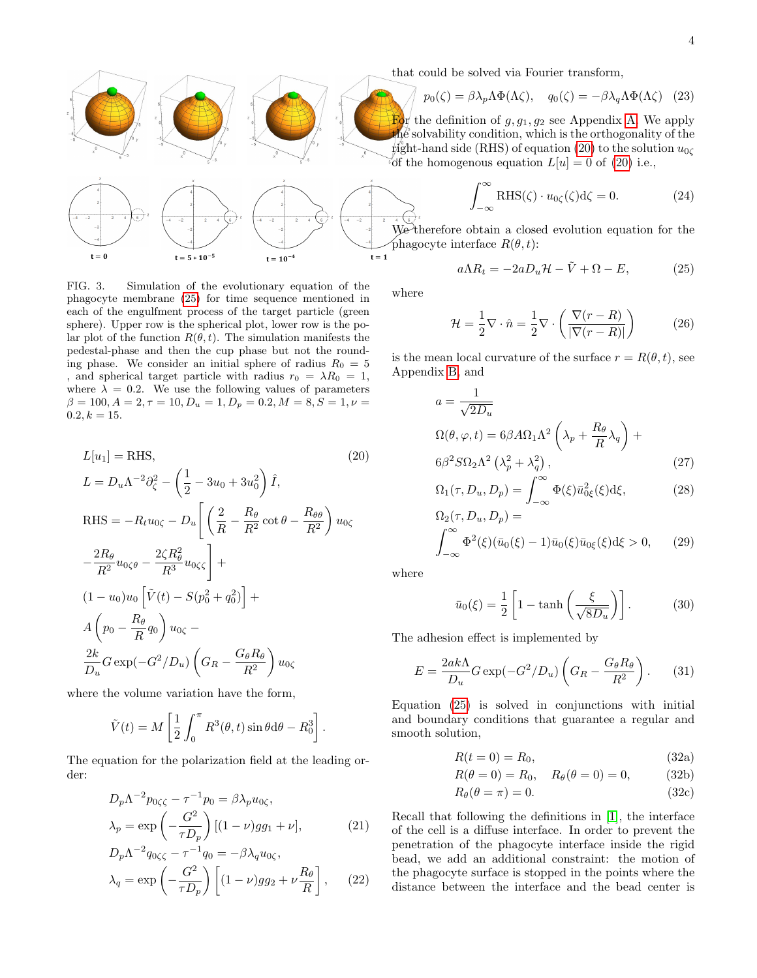

<span id="page-3-3"></span>FIG. 3. Simulation of the evolutionary equation of the phagocyte membrane [\(25\)](#page-3-0) for time sequence mentioned in each of the engulfment process of the target particle (green sphere). Upper row is the spherical plot, lower row is the polar plot of the function  $R(\theta, t)$ . The simulation manifests the pedestal-phase and then the cup phase but not the rounding phase. We consider an initial sphere of radius  $R_0 = 5$ , and spherical target particle with radius  $r_0 = \lambda R_0 = 1$ , where  $\lambda = 0.2$ . We use the following values of parameters  $\beta = 100, A = 2, \tau = 10, D_u = 1, D_p = 0.2, M = 8, S = 1, \nu = 1$  $0.2, k = 15.$ 

<span id="page-3-1"></span>
$$
L[u_1] = \text{RHS}, \qquad (20)
$$
  
\n
$$
L = D_u \Lambda^{-2} \partial_{\zeta}^2 - \left(\frac{1}{2} - 3u_0 + 3u_0^2\right) \hat{I},
$$
  
\n
$$
\text{RHS} = -R_t u_{0\zeta} - D_u \left[ \left(\frac{2}{R} - \frac{R_\theta}{R^2} \cot \theta - \frac{R_{\theta\theta}}{R^2}\right) u_{0\zeta} - \frac{2R_\theta}{R^2} u_{0\zeta\theta} - \frac{2\zeta R_\theta^2}{R^3} u_{0\zeta\zeta} \right] +
$$
  
\n
$$
(1 - u_0)u_0 \left[ \tilde{V}(t) - S(p_0^2 + q_0^2) \right] +
$$
  
\n
$$
A \left(p_0 - \frac{R_\theta}{R} q_0\right) u_{0\zeta} -
$$
  
\n
$$
\frac{2k}{D_u} G \exp(-G^2/D_u) \left(G_R - \frac{G_\theta R_\theta}{R^2}\right) u_{0\zeta}
$$
  
\n(20)

where the volume variation have the form,

$$
\tilde{V}(t) = M \left[ \frac{1}{2} \int_0^{\pi} R^3(\theta, t) \sin \theta \, d\theta - R_0^3 \right].
$$

The equation for the polarization field at the leading order:

$$
D_p \Lambda^{-2} p_{0\zeta\zeta} - \tau^{-1} p_0 = \beta \lambda_p u_{0\zeta},
$$
  
\n
$$
\lambda_p = \exp\left(-\frac{G^2}{\tau D_p}\right) [(1 - \nu) g g_1 + \nu],
$$
\n(21)

$$
D_p \Lambda^{-2} q_{0\zeta\zeta} - \tau^{-1} q_0 = -\beta \lambda_q u_{0\zeta},
$$
  

$$
\lambda_q = \exp\left(-\frac{G^2}{\tau D_p}\right) \left[ (1 - \nu) g g_2 + \nu \frac{R_\theta}{R} \right], \quad (22)
$$

that could be solved via Fourier transform,

$$
p_0(\zeta) = \beta \lambda_p \Lambda \Phi(\Lambda \zeta), \quad q_0(\zeta) = -\beta \lambda_q \Lambda \Phi(\Lambda \zeta) \quad (23)
$$

For the definition of  $g, g_1, g_2$  see Appendix [A.](#page-4-0) We apply the solvability condition, which is the orthogonality of the  $\sharp$ ight-hand side (RHS) of equation [\(20\)](#page-3-1) to the solution  $u_{0\zeta}$ of the homogenous equation  $L[u] = 0$  of [\(20\)](#page-3-1) i.e.,

$$
\int_{-\infty}^{\infty} \text{RHS}(\zeta) \cdot u_{0\zeta}(\zeta) d\zeta = 0.
$$
 (24)

We therefore obtain a closed evolution equation for the phagocyte interface  $R(\theta, t)$ :

<span id="page-3-0"></span>
$$
a\Lambda R_t = -2aD_u\mathcal{H} - \tilde{V} + \Omega - E, \qquad (25)
$$

where

$$
\mathcal{H} = \frac{1}{2} \nabla \cdot \hat{n} = \frac{1}{2} \nabla \cdot \left( \frac{\nabla (r - R)}{|\nabla (r - R)|} \right) \tag{26}
$$

is the mean local curvature of the surface  $r = R(\theta, t)$ , see Appendix [B,](#page-4-1) and

$$
a = \frac{1}{\sqrt{2D_u}}
$$
  
\n
$$
\Omega(\theta, \varphi, t) = 6\beta A \Omega_1 \Lambda^2 \left(\lambda_p + \frac{R_\theta}{R} \lambda_q\right) +
$$
  
\n
$$
6\beta^2 S \Omega_2 \Lambda^2 \left(\lambda_p^2 + \lambda_q^2\right),
$$
\n(27)

$$
\Omega_1(\tau, D_u, D_p) = \int_{-\infty}^{\infty} \Phi(\xi) \bar{u}_{0\xi}^2(\xi) d\xi,
$$
 (28)

$$
\Omega_2(\tau, D_u, D_p) =
$$
  

$$
\int_{-\infty}^{\infty} \Phi^2(\xi)(\bar{u}_0(\xi) - 1)\bar{u}_0(\xi)\bar{u}_0(\xi) d\xi > 0,
$$
 (29)

where

$$
\bar{u}_0(\xi) = \frac{1}{2} \left[ 1 - \tanh\left(\frac{\xi}{\sqrt{8D_u}}\right) \right].
$$
 (30)

The adhesion effect is implemented by

$$
E = \frac{2ak\Lambda}{D_u}G\exp(-G^2/D_u)\left(G_R - \frac{G_\theta R_\theta}{R^2}\right). \tag{31}
$$

Equation [\(25\)](#page-3-0) is solved in conjunctions with initial and boundary conditions that guarantee a regular and smooth solution,

<span id="page-3-2"></span>
$$
R(t=0) = R_0,\t\t(32a)
$$

$$
R(\theta = 0) = R_0, \quad R_{\theta}(\theta = 0) = 0,
$$
 (32b)

$$
R_{\theta}(\theta = \pi) = 0. \tag{32c}
$$

Recall that following the definitions in [\[1\]](#page-6-0), the interface of the cell is a diffuse interface. In order to prevent the penetration of the phagocyte interface inside the rigid bead, we add an additional constraint: the motion of the phagocyte surface is stopped in the points where the distance between the interface and the bead center is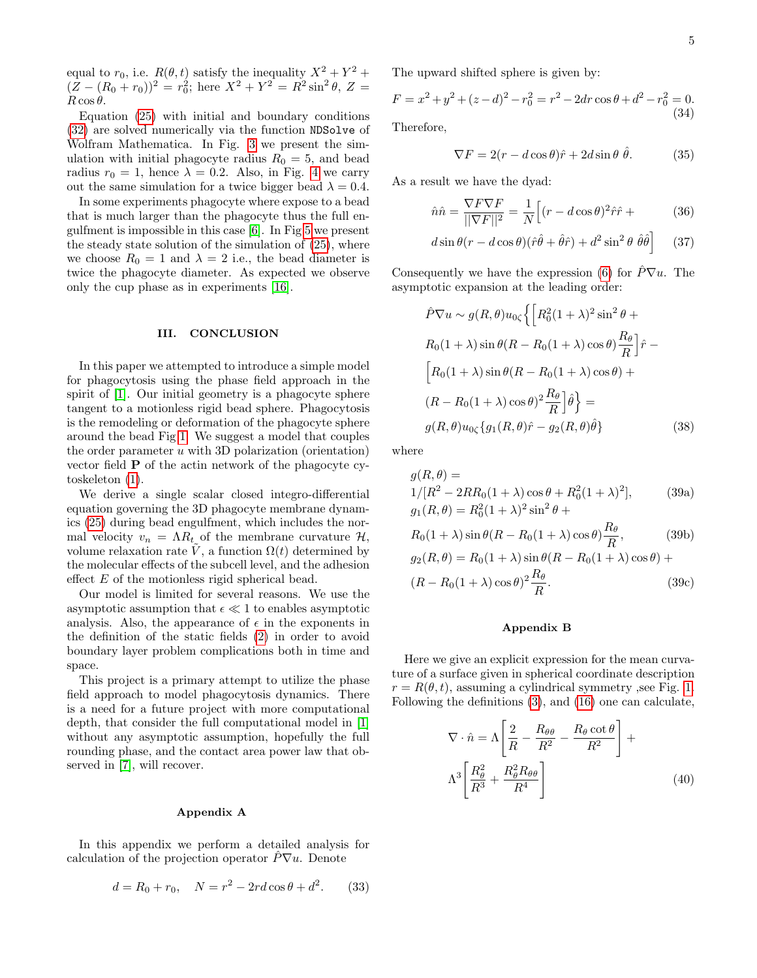equal to  $r_0$ , i.e.  $R(\theta, t)$  satisfy the inequality  $X^2 + Y^2 +$  $(Z - (R_0 + r_0))^2 = r_0^2$ ; here  $X^2 + Y^2 = R^2 \sin^2 \theta$ ,  $Z =$  $R \cos \theta$ .

Equation [\(25\)](#page-3-0) with initial and boundary conditions [\(32\)](#page-3-2) are solved numerically via the function NDSolve of Wolfram Mathematica. In Fig. [3](#page-3-3) we present the simulation with initial phagocyte radius  $R_0 = 5$ , and bead radius  $r_0 = 1$ , hence  $\lambda = 0.2$ . Also, in Fig. [4](#page-5-0) we carry out the same simulation for a twice bigger bead  $\lambda = 0.4$ .

In some experiments phagocyte where expose to a bead that is much larger than the phagocyte thus the full engulfment is impossible in this case [\[6\]](#page-6-5). In Fig [5](#page-5-1) we present the steady state solution of the simulation of [\(25\)](#page-3-0), where we choose  $R_0 = 1$  and  $\lambda = 2$  i.e., the bead diameter is twice the phagocyte diameter. As expected we observe only the cup phase as in experiments [\[16\]](#page-6-15).

## III. CONCLUSION

In this paper we attempted to introduce a simple model for phagocytosis using the phase field approach in the spirit of [\[1\]](#page-6-0). Our initial geometry is a phagocyte sphere tangent to a motionless rigid bead sphere. Phagocytosis is the remodeling or deformation of the phagocyte sphere around the bead Fig [1.](#page-1-0) We suggest a model that couples the order parameter  $u$  with 3D polarization (orientation) vector field P of the actin network of the phagocyte cytoskeleton [\(1\)](#page-1-2).

We derive a single scalar closed integro-differential equation governing the 3D phagocyte membrane dynamics [\(25\)](#page-3-0) during bead engulfment, which includes the normal velocity  $v_n = \Lambda R_t$  of the membrane curvature  $\mathcal{H}$ , volume relaxation rate  $\tilde{V}$ , a function  $\Omega(t)$  determined by the molecular effects of the subcell level, and the adhesion effect E of the motionless rigid spherical bead.

Our model is limited for several reasons. We use the asymptotic assumption that  $\epsilon \ll 1$  to enables asymptotic analysis. Also, the appearance of  $\epsilon$  in the exponents in the definition of the static fields [\(2\)](#page-1-3) in order to avoid boundary layer problem complications both in time and space.

This project is a primary attempt to utilize the phase field approach to model phagocytosis dynamics. There is a need for a future project with more computational depth, that consider the full computational model in [\[1\]](#page-6-0) without any asymptotic assumption, hopefully the full rounding phase, and the contact area power law that observed in [\[7\]](#page-6-6), will recover.

### <span id="page-4-0"></span>Appendix A

In this appendix we perform a detailed analysis for calculation of the projection operator  $\hat{P}\nabla u$ . Denote

$$
d = R_0 + r_0, \quad N = r^2 - 2rd\cos\theta + d^2. \tag{33}
$$

The upward shifted sphere is given by:

$$
F = x^{2} + y^{2} + (z - d)^{2} - r_{0}^{2} = r^{2} - 2dr \cos \theta + d^{2} - r_{0}^{2} = 0.
$$
\n
$$
(34)
$$

Therefore,

$$
\nabla F = 2(r - d\cos\theta)\hat{r} + 2d\sin\theta\,\hat{\theta}.\tag{35}
$$

As a result we have the dyad:

$$
\hat{n}\hat{n} = \frac{\nabla F \nabla F}{\|\nabla F\|^2} = \frac{1}{N} \Big[ (r - d\cos\theta)^2 \hat{r}\hat{r} + \tag{36}
$$

$$
d\sin\theta(r - d\cos\theta)(\hat{r}\hat{\theta} + \hat{\theta}\hat{r}) + d^2\sin^2\theta\,\hat{\theta}\hat{\theta}
$$
 (37)

Consequently we have the expression [\(6\)](#page-2-7) for  $\hat{P}\nabla u$ . The asymptotic expansion at the leading order:

$$
\hat{P}\nabla u \sim g(R,\theta)u_{0\zeta}\left\{\left[R_0^2(1+\lambda)^2\sin^2\theta + R_0(1+\lambda)\sin\theta(R-R_0(1+\lambda)\cos\theta)\frac{R_\theta}{R}\right]\hat{r} - \left[R_0(1+\lambda)\sin\theta(R-R_0(1+\lambda)\cos\theta) + (R-R_0(1+\lambda)\cos\theta)^2\frac{R_\theta}{R}\right]\hat{\theta}\right\} = g(R,\theta)u_{0\zeta}\left\{g_1(R,\theta)\hat{r} - g_2(R,\theta)\hat{\theta}\right\} \tag{38}
$$

where

$$
g(R, \theta) =
$$
  
1/[R<sup>2</sup> - 2RR<sub>0</sub>(1 +  $\lambda$ ) cos  $\theta$  + R<sub>0</sub><sup>2</sup>(1 +  $\lambda$ )<sup>2</sup>], (39a)  

$$
g_1(R, \theta) = R_0^2(1 + \lambda)^2 \sin^2 \theta +
$$

$$
R_0(1+\lambda)\sin\theta(R - R_0(1+\lambda)\cos\theta)\frac{R_\theta}{R},\qquad(39b)
$$

$$
g_2(R,\theta) = R_0(1+\lambda)\sin\theta(R - R_0(1+\lambda)\cos\theta) +
$$

$$
(R - R_0(1+\lambda)\cos\theta)^2 \frac{R_\theta}{R}.
$$
(39c)

### <span id="page-4-1"></span>Appendix B

Here we give an explicit expression for the mean curvature of a surface given in spherical coordinate description  $r = R(\theta, t)$ , assuming a cylindrical symmetry , see Fig. [1.](#page-1-0) Following the definitions [\(3\)](#page-2-8), and [\(16\)](#page-2-9) one can calculate,

$$
\nabla \cdot \hat{n} = \Lambda \left[ \frac{2}{R} - \frac{R_{\theta\theta}}{R^2} - \frac{R_{\theta} \cot \theta}{R^2} \right] + \Lambda^3 \left[ \frac{R_{\theta}^2}{R^3} + \frac{R_{\theta}^2 R_{\theta\theta}}{R^4} \right]
$$
(40)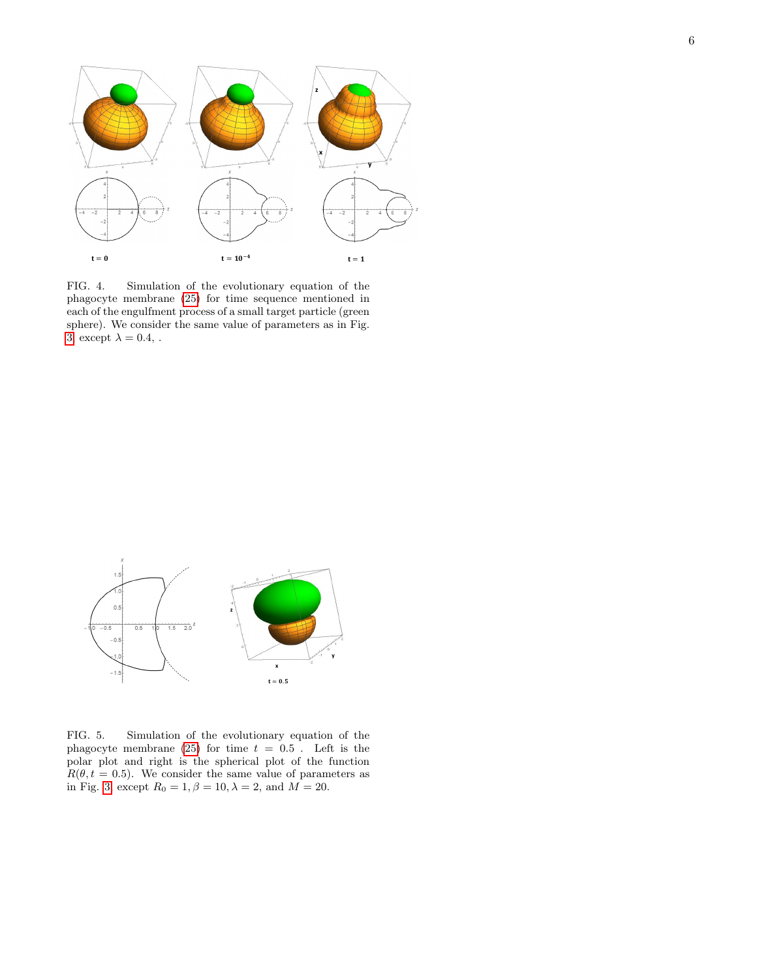

<span id="page-5-0"></span>FIG. 4. Simulation of the evolutionary equation of the phagocyte membrane [\(25\)](#page-3-0) for time sequence mentioned in each of the engulfment process of a small target particle (green sphere). We consider the same value of parameters as in Fig. [3,](#page-3-3) except  $\lambda = 0.4$ , .



<span id="page-5-1"></span>FIG. 5. Simulation of the evolutionary equation of the phagocyte membrane [\(25\)](#page-3-0) for time  $t = 0.5$ . Left is the polar plot and right is the spherical plot of the function  $R(\theta, t = 0.5)$ . We consider the same value of parameters as in Fig. [3,](#page-3-3) except  $R_0 = 1, \beta = 10, \lambda = 2$ , and  $M = 20$ .